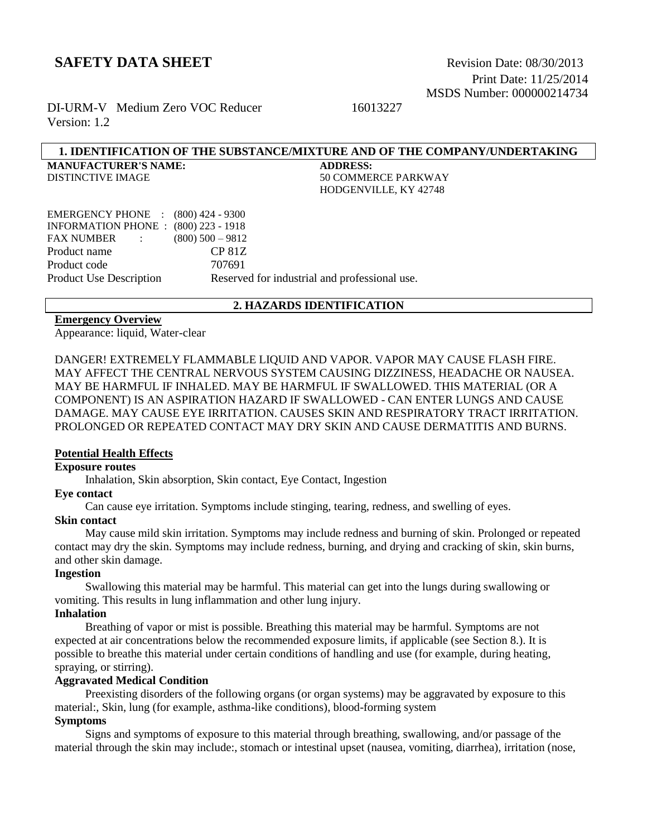Print Date: 11/25/2014 MSDS Number: 000000214734

DI-URM-V Medium Zero VOC Reducer 16013227 Version: 1.2

#### **1. IDENTIFICATION OF THE SUBSTANCE/MIXTURE AND OF THE COMPANY/UNDERTAKING**

**MANUFACTURER'S NAME: ADDRESS:**

DISTINCTIVE IMAGE 50 COMMERCE PARKWAY HODGENVILLE, KY 42748

| EMERGENCY PHONE : (800) 424 - 9300          |                                               |
|---------------------------------------------|-----------------------------------------------|
| <b>INFORMATION PHONE : (800) 223 - 1918</b> |                                               |
| FAX NUMBER :                                | $(800)$ 500 $-9812$                           |
| Product name                                | CP 81Z                                        |
| Product code                                | 707691                                        |
| <b>Product Use Description</b>              | Reserved for industrial and professional use. |
|                                             |                                               |

#### **2. HAZARDS IDENTIFICATION**

#### **Emergency Overview**

Appearance: liquid, Water-clear

DANGER! EXTREMELY FLAMMABLE LIQUID AND VAPOR. VAPOR MAY CAUSE FLASH FIRE. MAY AFFECT THE CENTRAL NERVOUS SYSTEM CAUSING DIZZINESS, HEADACHE OR NAUSEA. MAY BE HARMFUL IF INHALED. MAY BE HARMFUL IF SWALLOWED. THIS MATERIAL (OR A COMPONENT) IS AN ASPIRATION HAZARD IF SWALLOWED - CAN ENTER LUNGS AND CAUSE DAMAGE. MAY CAUSE EYE IRRITATION. CAUSES SKIN AND RESPIRATORY TRACT IRRITATION. PROLONGED OR REPEATED CONTACT MAY DRY SKIN AND CAUSE DERMATITIS AND BURNS.

#### **Potential Health Effects**

#### **Exposure routes**

Inhalation, Skin absorption, Skin contact, Eye Contact, Ingestion

#### **Eye contact**

Can cause eye irritation. Symptoms include stinging, tearing, redness, and swelling of eyes.

#### **Skin contact**

 May cause mild skin irritation. Symptoms may include redness and burning of skin. Prolonged or repeated contact may dry the skin. Symptoms may include redness, burning, and drying and cracking of skin, skin burns, and other skin damage.

#### **Ingestion**

 Swallowing this material may be harmful. This material can get into the lungs during swallowing or vomiting. This results in lung inflammation and other lung injury.

## **Inhalation**

 Breathing of vapor or mist is possible. Breathing this material may be harmful. Symptoms are not expected at air concentrations below the recommended exposure limits, if applicable (see Section 8.). It is possible to breathe this material under certain conditions of handling and use (for example, during heating, spraying, or stirring).

## **Aggravated Medical Condition**

 Preexisting disorders of the following organs (or organ systems) may be aggravated by exposure to this material:, Skin, lung (for example, asthma-like conditions), blood-forming system

## **Symptoms**

 Signs and symptoms of exposure to this material through breathing, swallowing, and/or passage of the material through the skin may include:, stomach or intestinal upset (nausea, vomiting, diarrhea), irritation (nose,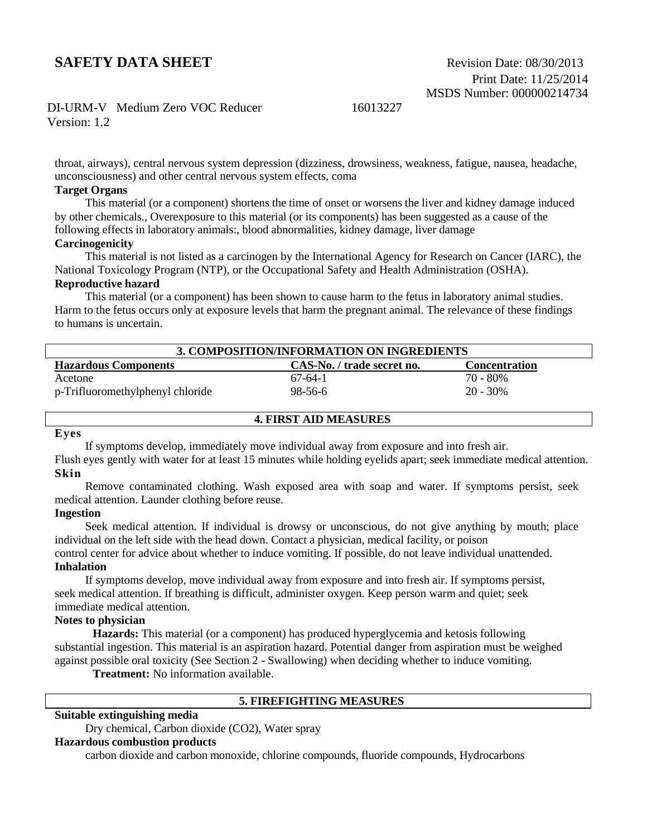## DI-URM-V Medium Zero VOC Reducer 16013227

Version: 1.2

throat, airways), central nervous system depression (dizziness, drowsiness, weakness, fatigue, nausea, headache, unconsciousness) and other central nervous system effects, coma

#### **Target Organs**

 This material (or a component) shortens the time of onset or worsens the liver and kidney damage induced by other chemicals., Overexposure to this material (or its components) has been suggested as a cause of the following effects in laboratory animals:, blood abnormalities, kidney damage, liver damage

## **Carcinogenicity**

This material is not listed as a carcinogen by the International Agency for Research on Cancer (IARC), the National Toxicology Program (NTP), or the Occupational Safety and Health Administration (OSHA).

#### **Reproductive hazard**

 This material (or a component) has been shown to cause harm to the fetus in laboratory animal studies. Harm to the fetus occurs only at exposure levels that harm the pregnant animal. The relevance of these findings to humans is uncertain.

| 3. COMPOSITION/INFORMATION ON INGREDIENTS                                         |           |             |  |  |
|-----------------------------------------------------------------------------------|-----------|-------------|--|--|
| <b>Hazardous Components</b><br>CAS-No. / trade secret no.<br><b>Concentration</b> |           |             |  |  |
| Acetone                                                                           | $67-64-1$ | 70 - 80%    |  |  |
| p-Trifluoromethylphenyl chloride                                                  | 98-56-6   | $20 - 30\%$ |  |  |

#### **Eyes**

If symptoms develop, immediately move individual away from exposure and into fresh air.

Flush eyes gently with water for at least 15 minutes while holding eyelids apart; seek immediate medical attention. **Skin**

**4. FIRST AID MEASURES**

 Remove contaminated clothing. Wash exposed area with soap and water. If symptoms persist, seek medical attention. Launder clothing before reuse.

#### **Ingestion**

 Seek medical attention. If individual is drowsy or unconscious, do not give anything by mouth; place individual on the left side with the head down. Contact a physician, medical facility, or poison

control center for advice about whether to induce vomiting. If possible, do not leave individual unattended. **Inhalation**

 If symptoms develop, move individual away from exposure and into fresh air. If symptoms persist, seek medical attention. If breathing is difficult, administer oxygen. Keep person warm and quiet; seek immediate medical attention.

#### **Notes to physician**

**Hazards:** This material (or a component) has produced hyperglycemia and ketosis following substantial ingestion. This material is an aspiration hazard. Potential danger from aspiration must be weighed against possible oral toxicity (See Section 2 - Swallowing) when deciding whether to induce vomiting.

**Treatment:** No information available.

#### **5. FIREFIGHTING MEASURES**

## **Suitable extinguishing media**

Dry chemical, Carbon dioxide (CO2), Water spray

#### **Hazardous combustion products**

carbon dioxide and carbon monoxide, chlorine compounds, fluoride compounds, Hydrocarbons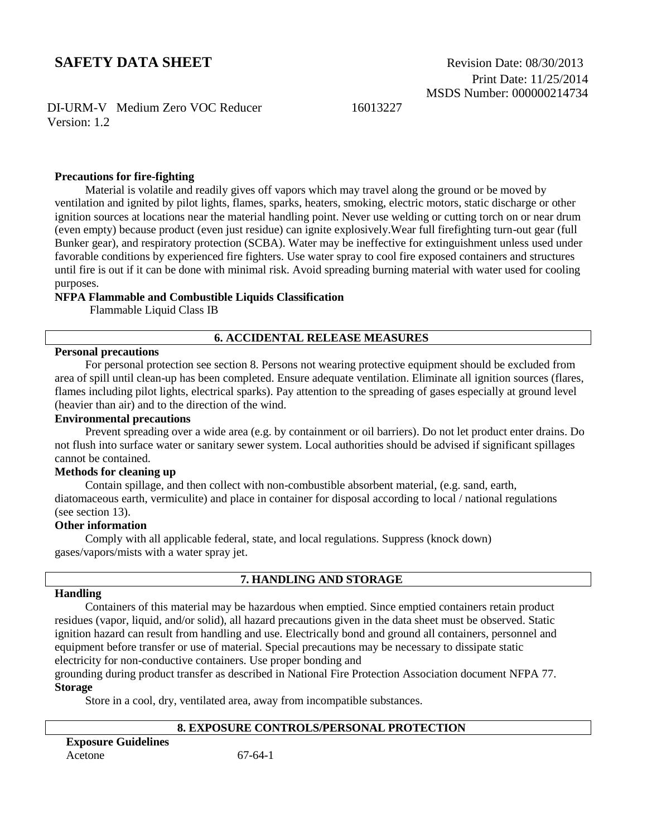DI-URM-V Medium Zero VOC Reducer 16013227 Version: 1.2

#### **Precautions for fire-fighting**

 Material is volatile and readily gives off vapors which may travel along the ground or be moved by ventilation and ignited by pilot lights, flames, sparks, heaters, smoking, electric motors, static discharge or other ignition sources at locations near the material handling point. Never use welding or cutting torch on or near drum (even empty) because product (even just residue) can ignite explosively.Wear full firefighting turn-out gear (full Bunker gear), and respiratory protection (SCBA). Water may be ineffective for extinguishment unless used under favorable conditions by experienced fire fighters. Use water spray to cool fire exposed containers and structures until fire is out if it can be done with minimal risk. Avoid spreading burning material with water used for cooling purposes.

#### **NFPA Flammable and Combustible Liquids Classification**

Flammable Liquid Class IB

#### **6. ACCIDENTAL RELEASE MEASURES**

#### **Personal precautions**

 For personal protection see section 8. Persons not wearing protective equipment should be excluded from area of spill until clean-up has been completed. Ensure adequate ventilation. Eliminate all ignition sources (flares, flames including pilot lights, electrical sparks). Pay attention to the spreading of gases especially at ground level (heavier than air) and to the direction of the wind.

#### **Environmental precautions**

 Prevent spreading over a wide area (e.g. by containment or oil barriers). Do not let product enter drains. Do not flush into surface water or sanitary sewer system. Local authorities should be advised if significant spillages cannot be contained.

#### **Methods for cleaning up**

 Contain spillage, and then collect with non-combustible absorbent material, (e.g. sand, earth, diatomaceous earth, vermiculite) and place in container for disposal according to local / national regulations (see section 13).

#### **Other information**

 Comply with all applicable federal, state, and local regulations. Suppress (knock down) gases/vapors/mists with a water spray jet.

#### **7. HANDLING AND STORAGE**

#### **Handling**

 Containers of this material may be hazardous when emptied. Since emptied containers retain product residues (vapor, liquid, and/or solid), all hazard precautions given in the data sheet must be observed. Static ignition hazard can result from handling and use. Electrically bond and ground all containers, personnel and equipment before transfer or use of material. Special precautions may be necessary to dissipate static electricity for non-conductive containers. Use proper bonding and

grounding during product transfer as described in National Fire Protection Association document NFPA 77. **Storage**

Store in a cool, dry, ventilated area, away from incompatible substances.

## **8. EXPOSURE CONTROLS/PERSONAL PROTECTION**

| <b>Exposure Guidelines</b> |  |
|----------------------------|--|
| Acetone                    |  |

 $67-64-1$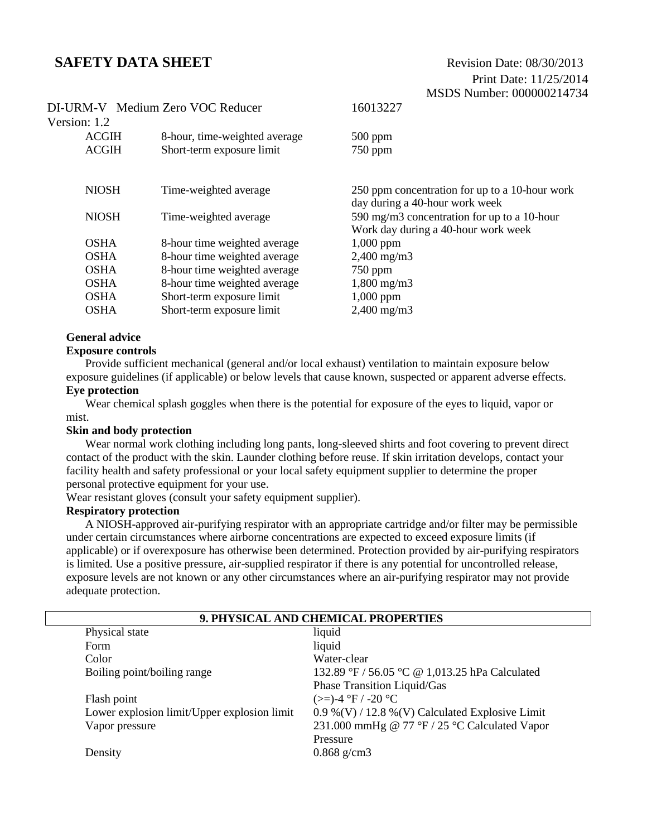|              | DI-URM-V Medium Zero VOC Reducer | 16013227                                                                           |
|--------------|----------------------------------|------------------------------------------------------------------------------------|
| Version: 1.2 |                                  |                                                                                    |
| <b>ACGIH</b> | 8-hour, time-weighted average    | $500$ ppm                                                                          |
| <b>ACGIH</b> | Short-term exposure limit        | $750$ ppm                                                                          |
|              |                                  |                                                                                    |
| <b>NIOSH</b> | Time-weighted average            | 250 ppm concentration for up to a 10-hour work<br>day during a 40-hour work week   |
| <b>NIOSH</b> | Time-weighted average            | 590 mg/m3 concentration for up to a 10-hour<br>Work day during a 40-hour work week |
| <b>OSHA</b>  | 8-hour time weighted average     | $1,000$ ppm                                                                        |
| <b>OSHA</b>  | 8-hour time weighted average     | $2,400 \text{ mg/m}$                                                               |
| <b>OSHA</b>  | 8-hour time weighted average     | $750$ ppm                                                                          |
| <b>OSHA</b>  | 8-hour time weighted average     | $1,800 \text{ mg/m}$                                                               |
| <b>OSHA</b>  | Short-term exposure limit        | $1,000$ ppm                                                                        |
| <b>OSHA</b>  | Short-term exposure limit        | $2,400$ mg/m $3$                                                                   |
|              |                                  |                                                                                    |

#### **General advice**

#### **Exposure controls**

Provide sufficient mechanical (general and/or local exhaust) ventilation to maintain exposure below exposure guidelines (if applicable) or below levels that cause known, suspected or apparent adverse effects.

#### **Eye protection**

Wear chemical splash goggles when there is the potential for exposure of the eyes to liquid, vapor or mist.

#### **Skin and body protection**

 Wear normal work clothing including long pants, long-sleeved shirts and foot covering to prevent direct contact of the product with the skin. Launder clothing before reuse. If skin irritation develops, contact your facility health and safety professional or your local safety equipment supplier to determine the proper personal protective equipment for your use.

Wear resistant gloves (consult your safety equipment supplier).

#### **Respiratory protection**

A NIOSH-approved air-purifying respirator with an appropriate cartridge and/or filter may be permissible under certain circumstances where airborne concentrations are expected to exceed exposure limits (if applicable) or if overexposure has otherwise been determined. Protection provided by air-purifying respirators is limited. Use a positive pressure, air-supplied respirator if there is any potential for uncontrolled release, exposure levels are not known or any other circumstances where an air-purifying respirator may not provide adequate protection.

| 9. PHYSICAL AND CHEMICAL PROPERTIES |                                             |                                                 |
|-------------------------------------|---------------------------------------------|-------------------------------------------------|
|                                     | Physical state                              | liquid                                          |
|                                     | <b>Form</b>                                 | liquid                                          |
|                                     | Color                                       | Water-clear                                     |
|                                     | Boiling point/boiling range                 | 132.89 °F / 56.05 °C @ 1,013.25 hPa Calculated  |
|                                     |                                             | Phase Transition Liquid/Gas                     |
|                                     | Flash point                                 | $(>=)$ -4 °F / -20 °C                           |
|                                     | Lower explosion limit/Upper explosion limit | 0.9 %(V) / 12.8 %(V) Calculated Explosive Limit |
|                                     | Vapor pressure                              | 231.000 mmHg @ 77 °F / 25 °C Calculated Vapor   |
|                                     |                                             | Pressure                                        |
|                                     | Density                                     | $0.868$ g/cm3                                   |
|                                     |                                             |                                                 |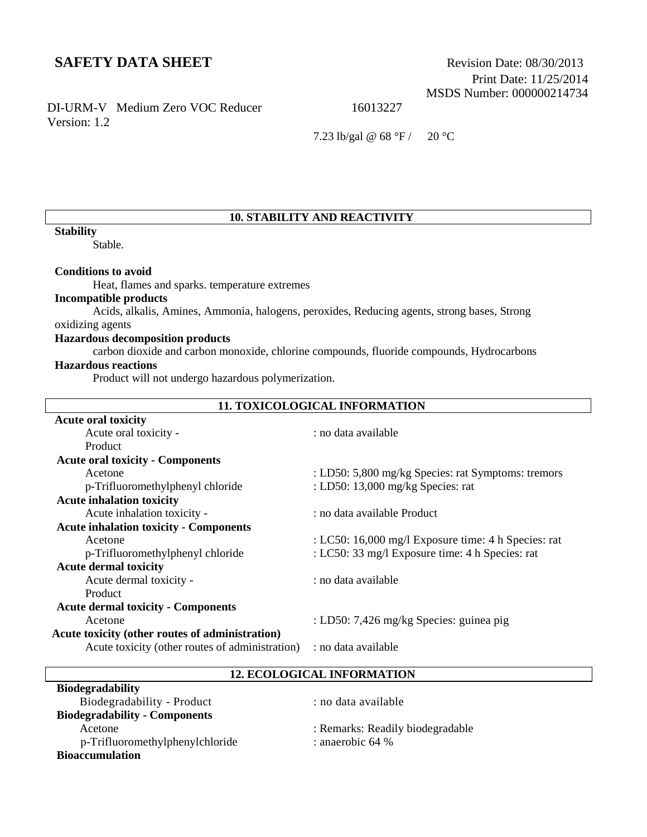Print Date: 11/25/2014 MSDS Number: 000000214734

## DI-URM-V Medium Zero VOC Reducer 16013227 Version: 1.2

7.23 lb/gal @ 68 °F / 20 °C

## **10. STABILITY AND REACTIVITY**

#### **Stability**

Stable.

#### **Conditions to avoid**

Heat, flames and sparks. temperature extremes

## **Incompatible products**

Acids, alkalis, Amines, Ammonia, halogens, peroxides, Reducing agents, strong bases, Strong

# oxidizing agents

## **Hazardous decomposition products**

carbon dioxide and carbon monoxide, chlorine compounds, fluoride compounds, Hydrocarbons

## **Hazardous reactions**

Product will not undergo hazardous polymerization.

| <b>11. TOXICOLOGICAL INFORMATION</b>            |                                                     |  |
|-------------------------------------------------|-----------------------------------------------------|--|
| <b>Acute oral toxicity</b>                      |                                                     |  |
| Acute oral toxicity -                           | : no data available                                 |  |
| Product                                         |                                                     |  |
| <b>Acute oral toxicity - Components</b>         |                                                     |  |
| Acetone                                         | : LD50: 5,800 mg/kg Species: rat Symptoms: tremors  |  |
| p-Trifluoromethylphenyl chloride                | : LD50: 13,000 mg/kg Species: rat                   |  |
| <b>Acute inhalation toxicity</b>                |                                                     |  |
| Acute inhalation toxicity -                     | : no data available Product                         |  |
| <b>Acute inhalation toxicity - Components</b>   |                                                     |  |
| Acetone                                         | : LC50: 16,000 mg/l Exposure time: 4 h Species: rat |  |
| p-Trifluoromethylphenyl chloride                | : LC50: 33 mg/l Exposure time: 4 h Species: rat     |  |
| <b>Acute dermal toxicity</b>                    |                                                     |  |
| Acute dermal toxicity -                         | : no data available                                 |  |
| <b>Product</b>                                  |                                                     |  |
| <b>Acute dermal toxicity - Components</b>       |                                                     |  |
| Acetone                                         | : LD50: 7,426 mg/kg Species: guinea pig             |  |
| Acute toxicity (other routes of administration) |                                                     |  |
| Acute toxicity (other routes of administration) | : no data available                                 |  |
|                                                 |                                                     |  |

**12. ECOLOGICAL INFORMATION**

| <b>Biodegradability</b>              |                                  |
|--------------------------------------|----------------------------------|
| Biodegradability - Product           | : no data available              |
| <b>Biodegradability - Components</b> |                                  |
| Acetone                              | : Remarks: Readily biodegradable |
| p-Trifluoromethylphenylchloride      | : anaerobic $64%$                |
| <b>Bioaccumulation</b>               |                                  |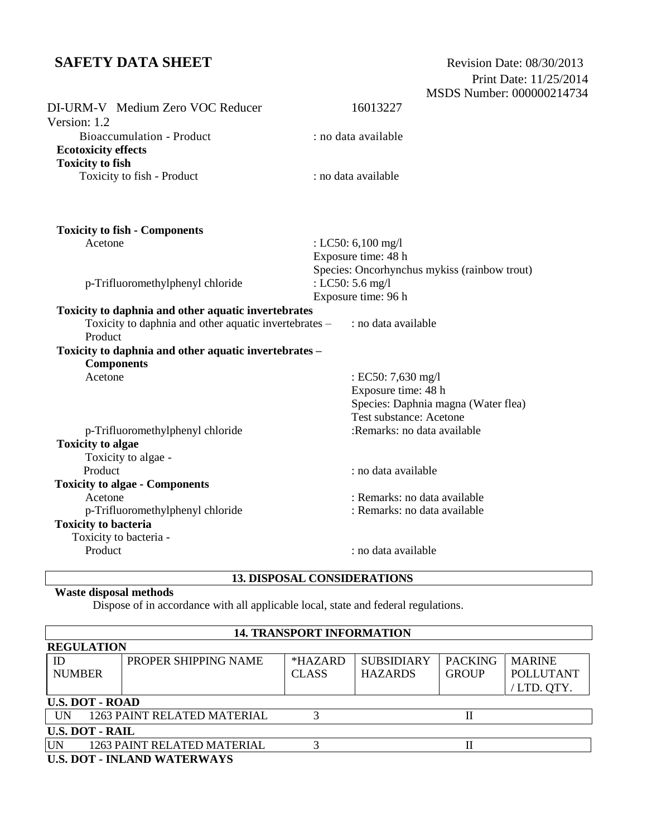| DI-URM-V Medium Zero VOC Reducer                      | 16013227                                                   |
|-------------------------------------------------------|------------------------------------------------------------|
| Version: 1.2                                          |                                                            |
| <b>Bioaccumulation - Product</b>                      | : no data available                                        |
| <b>Ecotoxicity effects</b>                            |                                                            |
| <b>Toxicity to fish</b>                               |                                                            |
| Toxicity to fish - Product                            | : no data available                                        |
| <b>Toxicity to fish - Components</b>                  |                                                            |
| Acetone                                               | : LC50: 6,100 mg/l                                         |
|                                                       | Exposure time: 48 h                                        |
|                                                       | Species: Oncorhynchus mykiss (rainbow trout)               |
| p-Trifluoromethylphenyl chloride                      | : LC50: 5.6 mg/l                                           |
|                                                       | Exposure time: 96 h                                        |
| Toxicity to daphnia and other aquatic invertebrates   |                                                            |
| Toxicity to daphnia and other aquatic invertebrates – | : no data available                                        |
| Product                                               |                                                            |
| Toxicity to daphnia and other aquatic invertebrates - |                                                            |
| <b>Components</b>                                     |                                                            |
| Acetone                                               | : EC50: 7,630 mg/l                                         |
|                                                       | Exposure time: 48 h<br>Species: Daphnia magna (Water flea) |
|                                                       | Test substance: Acetone                                    |
| p-Trifluoromethylphenyl chloride                      | :Remarks: no data available                                |
| <b>Toxicity to algae</b>                              |                                                            |
| Toxicity to algae -                                   |                                                            |
| Product                                               | : no data available                                        |
| <b>Toxicity to algae - Components</b>                 |                                                            |
| Acetone                                               | : Remarks: no data available                               |
| p-Trifluoromethylphenyl chloride                      | : Remarks: no data available                               |
| <b>Toxicity to bacteria</b>                           |                                                            |
| Toxicity to bacteria -                                |                                                            |
| Product                                               | : no data available                                        |
|                                                       |                                                            |

# **13. DISPOSAL CONSIDERATIONS**

# **Waste disposal methods**

Dispose of in accordance with all applicable local, state and federal regulations.

| <b>14. TRANSPORT INFORMATION</b>   |                             |              |                   |                |                  |
|------------------------------------|-----------------------------|--------------|-------------------|----------------|------------------|
| <b>REGULATION</b>                  |                             |              |                   |                |                  |
| ID                                 | PROPER SHIPPING NAME        | $*HAZARD$    | <b>SUBSIDIARY</b> | <b>PACKING</b> | <b>MARINE</b>    |
| <b>NUMBER</b>                      |                             | <b>CLASS</b> | <b>HAZARDS</b>    | <b>GROUP</b>   | <b>POLLUTANT</b> |
|                                    |                             |              |                   |                | /LTD. QTY.       |
|                                    | <b>U.S. DOT - ROAD</b>      |              |                   |                |                  |
| <b>IIN</b>                         | 1263 PAINT RELATED MATERIAL |              |                   |                |                  |
| <b>U.S. DOT - RAIL</b>             |                             |              |                   |                |                  |
| UN                                 | 1263 PAINT RELATED MATERIAL |              |                   | П              |                  |
| <b>U.S. DOT - INLAND WATERWAYS</b> |                             |              |                   |                |                  |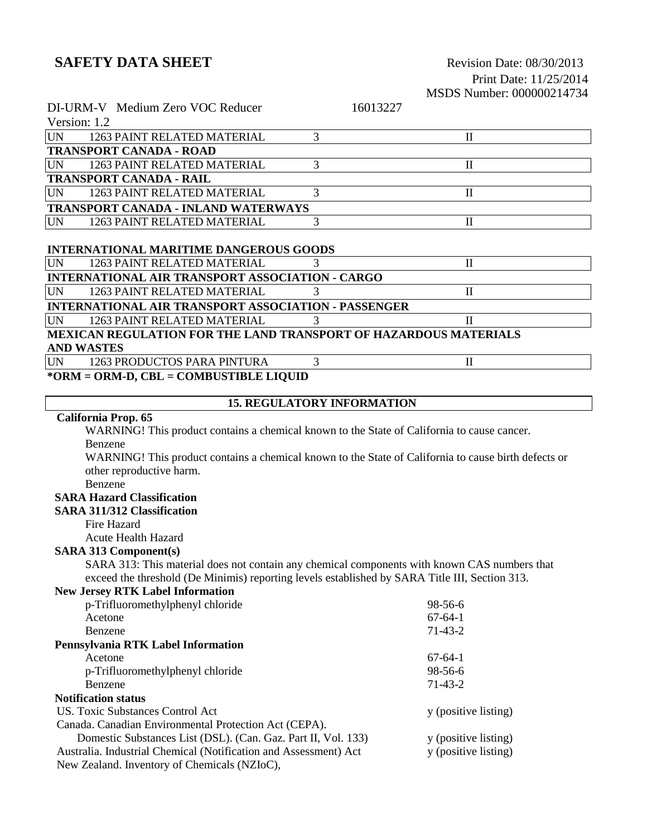Canada. Canadian Environmental Protection Act (CEPA).

New Zealand. Inventory of Chemicals (NZIoC),

Australia. Industrial Chemical (Notification and Assessment) Act

# Print Date: 11/25/2014

|                                                                         | MSDS Number: 000000214734                                                                            |
|-------------------------------------------------------------------------|------------------------------------------------------------------------------------------------------|
| DI-URM-V Medium Zero VOC Reducer                                        | 16013227                                                                                             |
| Version: 1.2                                                            |                                                                                                      |
| <b>UN</b><br>1263 PAINT RELATED MATERIAL                                | 3<br>$\mathbf{I}$                                                                                    |
| <b>TRANSPORT CANADA - ROAD</b>                                          |                                                                                                      |
| <b>UN</b><br>1263 PAINT RELATED MATERIAL                                | 3<br>$\mathbf{I}$                                                                                    |
| <b>TRANSPORT CANADA - RAIL</b>                                          |                                                                                                      |
| <b>UN</b><br>1263 PAINT RELATED MATERIAL                                | 3<br>$\mathbf{I}$                                                                                    |
| <b>TRANSPORT CANADA - INLAND WATERWAYS</b>                              |                                                                                                      |
| <b>UN</b><br>1263 PAINT RELATED MATERIAL                                | 3<br>$\mathbf{I}$                                                                                    |
|                                                                         |                                                                                                      |
| <b>INTERNATIONAL MARITIME DANGEROUS GOODS</b>                           |                                                                                                      |
| <b>UN</b><br>1263 PAINT RELATED MATERIAL                                | 3<br>$\mathbf{I}$                                                                                    |
| <b>INTERNATIONAL AIR TRANSPORT ASSOCIATION - CARGO</b>                  |                                                                                                      |
| <b>UN</b><br>1263 PAINT RELATED MATERIAL                                | 3<br>$\mathbf{I}$                                                                                    |
| <b>INTERNATIONAL AIR TRANSPORT ASSOCIATION - PASSENGER</b>              |                                                                                                      |
| <b>UN</b><br>1263 PAINT RELATED MATERIAL                                | 3<br>П                                                                                               |
| <b>MEXICAN REGULATION FOR THE LAND TRANSPORT OF HAZARDOUS MATERIALS</b> |                                                                                                      |
| <b>AND WASTES</b>                                                       |                                                                                                      |
| <b>UN</b><br>1263 PRODUCTOS PARA PINTURA                                | 3<br>$\mathbf{I}$                                                                                    |
| *ORM = ORM-D, CBL = COMBUSTIBLE LIQUID                                  |                                                                                                      |
|                                                                         |                                                                                                      |
|                                                                         | <b>15. REGULATORY INFORMATION</b>                                                                    |
| California Prop. 65                                                     |                                                                                                      |
|                                                                         | WARNING! This product contains a chemical known to the State of California to cause cancer.          |
| Benzene                                                                 |                                                                                                      |
|                                                                         | WARNING! This product contains a chemical known to the State of California to cause birth defects or |
| other reproductive harm.                                                |                                                                                                      |
| Benzene                                                                 |                                                                                                      |
| <b>SARA Hazard Classification</b>                                       |                                                                                                      |
| <b>SARA 311/312 Classification</b>                                      |                                                                                                      |
| Fire Hazard                                                             |                                                                                                      |
| <b>Acute Health Hazard</b>                                              |                                                                                                      |
| <b>SARA 313 Component(s)</b>                                            |                                                                                                      |
|                                                                         | SARA 313: This material does not contain any chemical components with known CAS numbers that         |
|                                                                         | exceed the threshold (De Minimis) reporting levels established by SARA Title III, Section 313.       |
| <b>New Jersey RTK Label Information</b>                                 |                                                                                                      |
| p-Trifluoromethylphenyl chloride                                        | 98-56-6                                                                                              |
| Acetone                                                                 | $67 - 64 - 1$                                                                                        |
| Benzene                                                                 | $71-43-2$                                                                                            |
| Pennsylvania RTK Label Information                                      |                                                                                                      |
| Acetone                                                                 | $67 - 64 - 1$                                                                                        |
| p-Trifluoromethylphenyl chloride                                        | 98-56-6                                                                                              |
| Benzene                                                                 | $71-43-2$                                                                                            |
| <b>Notification status</b>                                              |                                                                                                      |
| US. Toxic Substances Control Act                                        | y (positive listing)                                                                                 |

Domestic Substances List (DSL). (Can. Gaz. Part II, Vol. 133) y (positive listing)<br>tralia. Industrial Chemical (Notification and Assessment) Act y (positive listing)